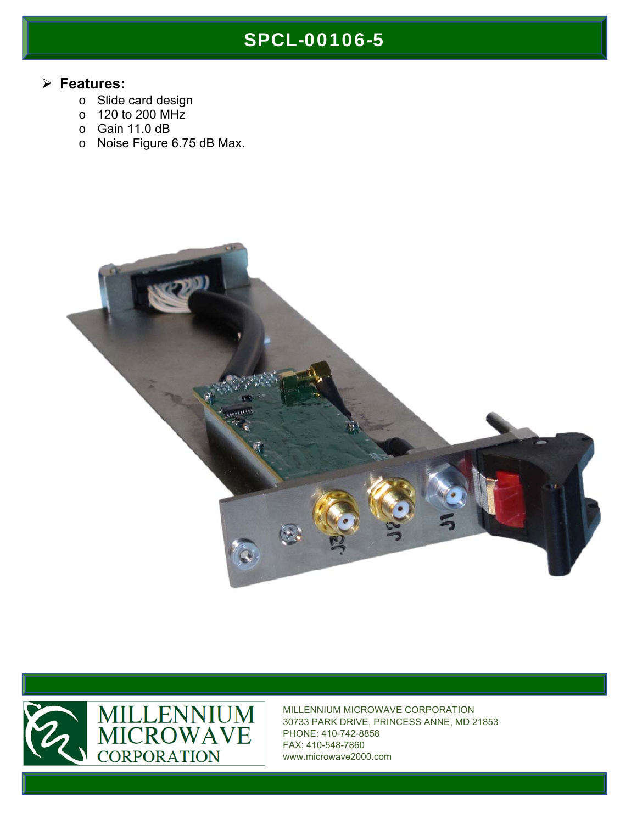# SPCL-00106-5

#### **Features:**

- o Slide card design
- o 120 to 200 MHz
- o Gain 11.0 dB
- o Noise Figure 6.75 dB Max.





MILLENNIUM MICROWAVE CORPORATION 30733 PARK DRIVE, PRINCESS ANNE, MD 21853 PHONE: 410-742-8858 FAX: 410-548-7860 www.microwave2000.com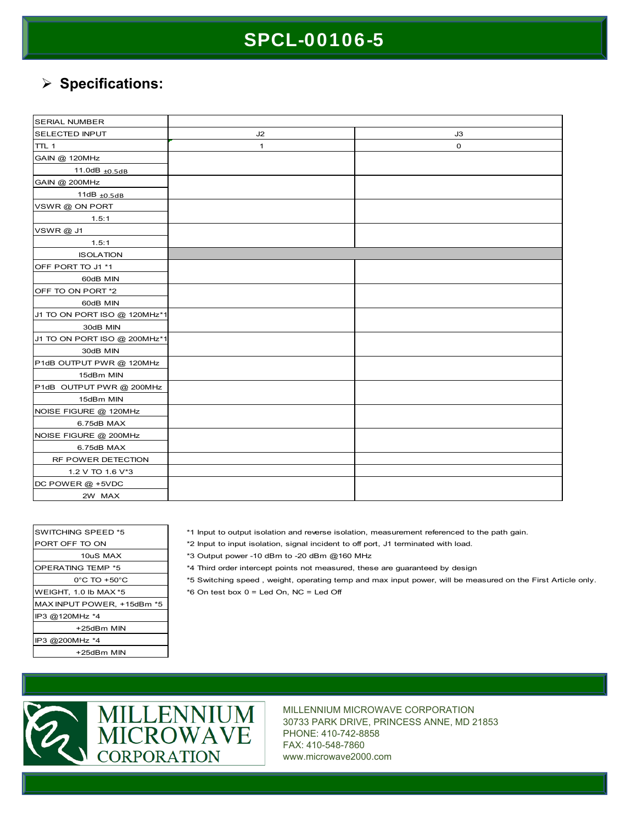## SPCL-00106-5

### **Specifications:**

| <b>SERIAL NUMBER</b>         |    |    |
|------------------------------|----|----|
| <b>SELECTED INPUT</b>        | J2 | J3 |
| TTL 1                        | 1  | 0  |
| GAIN @ 120MHz                |    |    |
| 11.0dB $_{\pm 0.5dB}$        |    |    |
| GAIN @ 200MHz                |    |    |
| 11dB $±0.5dB$                |    |    |
| VSWR@ON PORT                 |    |    |
| 1.5:1                        |    |    |
| VSWR@J1                      |    |    |
| 1.5:1                        |    |    |
| <b>ISOLATION</b>             |    |    |
| OFF PORT TO J1 *1            |    |    |
| 60dB MIN                     |    |    |
| OFF TO ON PORT *2            |    |    |
| 60dB MIN                     |    |    |
| J1 TO ON PORT ISO @ 120MHz*1 |    |    |
| 30dB MIN                     |    |    |
| J1 TO ON PORT ISO @ 200MHz*1 |    |    |
| 30dB MIN                     |    |    |
| P1dB OUTPUT PWR @ 120MHz     |    |    |
| 15dBm MIN                    |    |    |
| P1dB OUTPUT PWR @ 200MHz     |    |    |
| 15dBm MIN                    |    |    |
| NOISE FIGURE @ 120MHz        |    |    |
| 6.75dB MAX                   |    |    |
| NOISE FIGURE @ 200MHz        |    |    |
| 6.75dB MAX                   |    |    |
| RF POWER DETECTION           |    |    |
| 1.2 V TO 1.6 V*3             |    |    |
| DC POWER @ +5VDC             |    |    |
| 2W MAX                       |    |    |

| <b>SWITCHING SPEED *5</b>        |  |  |
|----------------------------------|--|--|
| PORT OFF TO ON                   |  |  |
| 10uS MAX                         |  |  |
| <b>OPERATING TEMP *5</b>         |  |  |
| $0^{\circ}$ C TO $+50^{\circ}$ C |  |  |
| WEIGHT, 1.0 lb MAX *5            |  |  |
| MAX INPUT POWER, +15dBm *5       |  |  |
| IP3 @120MHz *4                   |  |  |
| +25dBm MIN                       |  |  |
| IP3 @200MHz *4                   |  |  |
| +25dBm MIN                       |  |  |

\*1 Input to output isolation and reverse isolation, measurement referenced to the path gain.

\*2 Input to input isolation, signal incident to off port, J1 terminated with load.

\*3 Output power -10 dBm to -20 dBm @160 MHz

\*4 Third order intercept points not measured, these are guaranteed by design

\*5 Switching speed , weight, operating temp and max input power, will be measured on the First Article only.  $*6$  On test box  $0 =$  Led On, NC = Led Off



MILLENNIUM MICROWAVE CORPORATION 30733 PARK DRIVE, PRINCESS ANNE, MD 21853 PHONE: 410-742-8858 FAX: 410-548-7860 www.microwave2000.com